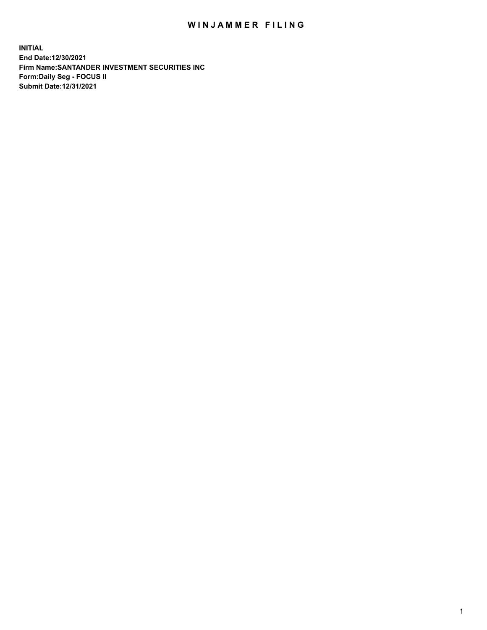## WIN JAMMER FILING

**INITIAL End Date:12/30/2021 Firm Name:SANTANDER INVESTMENT SECURITIES INC Form:Daily Seg - FOCUS II Submit Date:12/31/2021**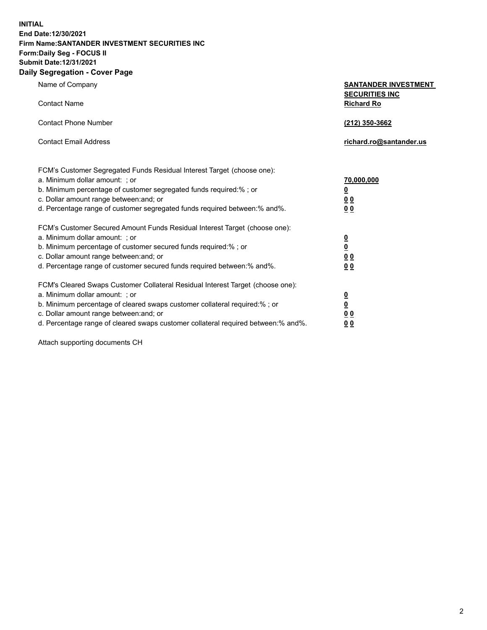**INITIAL End Date:12/30/2021 Firm Name:SANTANDER INVESTMENT SECURITIES INC Form:Daily Seg - FOCUS II Submit Date:12/31/2021 Daily Segregation - Cover Page**

Name of Company **SANTANDER INVESTMENT SECURITIES INC** Contact Name **Richard Ro** Contact Phone Number **(212) 350-3662** Contact Email Address **richard.ro@santander.us** FCM's Customer Segregated Funds Residual Interest Target (choose one): a. Minimum dollar amount: ; or **70,000,000** b. Minimum percentage of customer segregated funds required:% ; or **0** c. Dollar amount range between:and; or **0 0** d. Percentage range of customer segregated funds required between:% and%. **0 0** FCM's Customer Secured Amount Funds Residual Interest Target (choose one): a. Minimum dollar amount: ; or **0** b. Minimum percentage of customer secured funds required:% ; or **0** c. Dollar amount range between:and; or **0 0** d. Percentage range of customer secured funds required between:% and%. **0 0** FCM's Cleared Swaps Customer Collateral Residual Interest Target (choose one): a. Minimum dollar amount: ; or **0** b. Minimum percentage of cleared swaps customer collateral required:% ; or **0** c. Dollar amount range between:and; or **0 0** d. Percentage range of cleared swaps customer collateral required between:% and%. **0 0**

Attach supporting documents CH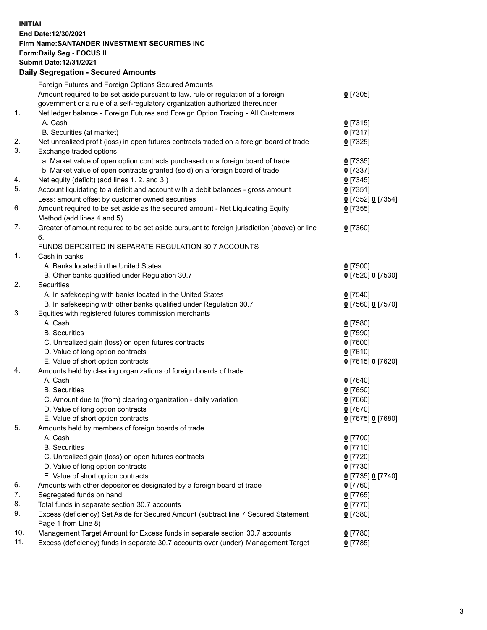## **INITIAL End Date:12/30/2021 Firm Name:SANTANDER INVESTMENT SECURITIES INC Form:Daily Seg - FOCUS II Submit Date:12/31/2021 Daily Segregation - Secured Amounts**

|     | Foreign Futures and Foreign Options Secured Amounts                                         |                   |
|-----|---------------------------------------------------------------------------------------------|-------------------|
|     | Amount required to be set aside pursuant to law, rule or regulation of a foreign            | $0$ [7305]        |
|     | government or a rule of a self-regulatory organization authorized thereunder                |                   |
| 1.  | Net ledger balance - Foreign Futures and Foreign Option Trading - All Customers             |                   |
|     | A. Cash                                                                                     | $0$ [7315]        |
|     | B. Securities (at market)                                                                   | $0$ [7317]        |
| 2.  | Net unrealized profit (loss) in open futures contracts traded on a foreign board of trade   | $0$ [7325]        |
| 3.  | Exchange traded options                                                                     |                   |
|     | a. Market value of open option contracts purchased on a foreign board of trade              | $0$ [7335]        |
|     | b. Market value of open contracts granted (sold) on a foreign board of trade                | $0$ [7337]        |
| 4.  | Net equity (deficit) (add lines 1. 2. and 3.)                                               | $0$ [7345]        |
| 5.  | Account liquidating to a deficit and account with a debit balances - gross amount           | $0$ [7351]        |
|     | Less: amount offset by customer owned securities                                            | 0 [7352] 0 [7354] |
| 6.  | Amount required to be set aside as the secured amount - Net Liquidating Equity              | $0$ [7355]        |
|     | Method (add lines 4 and 5)                                                                  |                   |
| 7.  | Greater of amount required to be set aside pursuant to foreign jurisdiction (above) or line | $0$ [7360]        |
|     | 6.                                                                                          |                   |
|     | FUNDS DEPOSITED IN SEPARATE REGULATION 30.7 ACCOUNTS                                        |                   |
| 1.  | Cash in banks                                                                               |                   |
|     | A. Banks located in the United States                                                       | $0$ [7500]        |
|     | B. Other banks qualified under Regulation 30.7                                              | 0 [7520] 0 [7530] |
| 2.  | <b>Securities</b>                                                                           |                   |
|     | A. In safekeeping with banks located in the United States                                   | $0$ [7540]        |
|     | B. In safekeeping with other banks qualified under Regulation 30.7                          | 0 [7560] 0 [7570] |
| 3.  | Equities with registered futures commission merchants                                       |                   |
|     | A. Cash                                                                                     | $0$ [7580]        |
|     | <b>B.</b> Securities                                                                        | <u>0</u> [7590]   |
|     | C. Unrealized gain (loss) on open futures contracts                                         | 0 [7600]          |
|     | D. Value of long option contracts                                                           | $0$ [7610]        |
|     | E. Value of short option contracts                                                          | 0 [7615] 0 [7620] |
| 4.  | Amounts held by clearing organizations of foreign boards of trade                           |                   |
|     | A. Cash                                                                                     | $0$ [7640]        |
|     | <b>B.</b> Securities                                                                        | <u>0</u> [7650]   |
|     | C. Amount due to (from) clearing organization - daily variation                             | $0$ [7660]        |
|     | D. Value of long option contracts                                                           | $0$ [7670]        |
|     | E. Value of short option contracts                                                          | 0 [7675] 0 [7680] |
| 5.  | Amounts held by members of foreign boards of trade                                          |                   |
|     | A. Cash                                                                                     | $0$ [7700]        |
|     | <b>B.</b> Securities                                                                        | $0$ [7710]        |
|     | C. Unrealized gain (loss) on open futures contracts                                         | $0$ [7720]        |
|     | D. Value of long option contracts                                                           | $0$ [7730]        |
|     | E. Value of short option contracts                                                          | 0 [7735] 0 [7740] |
| 6.  | Amounts with other depositories designated by a foreign board of trade                      | $0$ [7760]        |
| 7.  | Segregated funds on hand                                                                    | $0$ [7765]        |
| 8.  | Total funds in separate section 30.7 accounts                                               | $0$ [7770]        |
| 9.  | Excess (deficiency) Set Aside for Secured Amount (subtract line 7 Secured Statement         | $0$ [7380]        |
|     | Page 1 from Line 8)                                                                         |                   |
| 10. | Management Target Amount for Excess funds in separate section 30.7 accounts                 | $0$ [7780]        |
| 11. | Excess (deficiency) funds in separate 30.7 accounts over (under) Management Target          | $0$ [7785]        |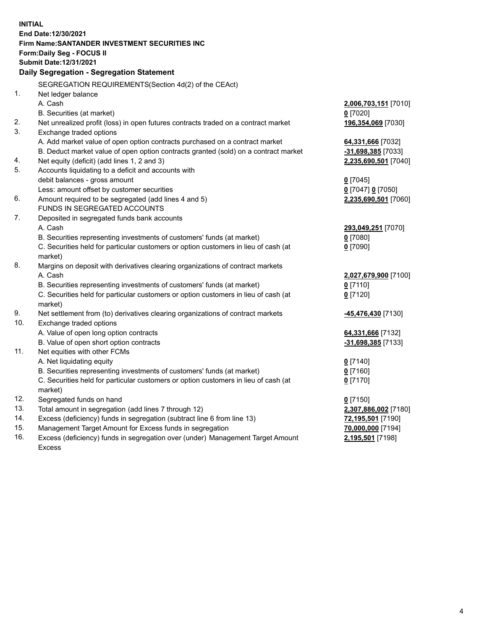| <b>INITIAL</b> |                                                                                     |                      |  |  |  |
|----------------|-------------------------------------------------------------------------------------|----------------------|--|--|--|
|                | End Date:12/30/2021                                                                 |                      |  |  |  |
|                | Firm Name: SANTANDER INVESTMENT SECURITIES INC                                      |                      |  |  |  |
|                | Form: Daily Seg - FOCUS II                                                          |                      |  |  |  |
|                | Submit Date: 12/31/2021                                                             |                      |  |  |  |
|                | Daily Segregation - Segregation Statement                                           |                      |  |  |  |
|                |                                                                                     |                      |  |  |  |
|                | SEGREGATION REQUIREMENTS(Section 4d(2) of the CEAct)                                |                      |  |  |  |
| 1.             | Net ledger balance                                                                  |                      |  |  |  |
|                | A. Cash                                                                             | 2,006,703,151 [7010] |  |  |  |
|                | B. Securities (at market)                                                           | $0$ [7020]           |  |  |  |
| 2.             | Net unrealized profit (loss) in open futures contracts traded on a contract market  | 196,354,069 [7030]   |  |  |  |
| 3.             | Exchange traded options                                                             |                      |  |  |  |
|                | A. Add market value of open option contracts purchased on a contract market         | 64,331,666 [7032]    |  |  |  |
|                | B. Deduct market value of open option contracts granted (sold) on a contract market | $-31,698,385$ [7033] |  |  |  |
| 4.             | Net equity (deficit) (add lines 1, 2 and 3)                                         | 2,235,690,501 [7040] |  |  |  |
| 5.             | Accounts liquidating to a deficit and accounts with                                 |                      |  |  |  |
|                | debit balances - gross amount                                                       | $0$ [7045]           |  |  |  |
|                | Less: amount offset by customer securities                                          | 0 [7047] 0 [7050]    |  |  |  |
| 6.             | Amount required to be segregated (add lines 4 and 5)                                | 2,235,690,501 [7060] |  |  |  |
|                | FUNDS IN SEGREGATED ACCOUNTS                                                        |                      |  |  |  |
| 7.             | Deposited in segregated funds bank accounts                                         |                      |  |  |  |
|                | A. Cash                                                                             | 293,049,251 [7070]   |  |  |  |
|                | B. Securities representing investments of customers' funds (at market)              | $0$ [7080]           |  |  |  |
|                | C. Securities held for particular customers or option customers in lieu of cash (at | $0$ [7090]           |  |  |  |
|                | market)                                                                             |                      |  |  |  |
| 8.             | Margins on deposit with derivatives clearing organizations of contract markets      |                      |  |  |  |
|                | A. Cash                                                                             | 2,027,679,900 [7100] |  |  |  |
|                | B. Securities representing investments of customers' funds (at market)              | $0$ [7110]           |  |  |  |
|                | C. Securities held for particular customers or option customers in lieu of cash (at | $0$ [7120]           |  |  |  |
|                | market)                                                                             |                      |  |  |  |
| 9.             | Net settlement from (to) derivatives clearing organizations of contract markets     | -45,476,430 [7130]   |  |  |  |
| 10.            | Exchange traded options                                                             |                      |  |  |  |
|                | A. Value of open long option contracts                                              | 64,331,666 [7132]    |  |  |  |
|                | B. Value of open short option contracts                                             | -31,698,385 [7133]   |  |  |  |
| 11.            | Net equities with other FCMs                                                        |                      |  |  |  |
|                | A. Net liquidating equity                                                           | $0$ [7140]           |  |  |  |
|                | B. Securities representing investments of customers' funds (at market)              | $0$ [7160]           |  |  |  |
|                | C. Securities held for particular customers or option customers in lieu of cash (at | $0$ [7170]           |  |  |  |
|                | market)                                                                             |                      |  |  |  |
| 12.            | Segregated funds on hand                                                            | $0$ [7150]           |  |  |  |
| 13.            | Total amount in segregation (add lines 7 through 12)                                | 2,307,886,002 [7180] |  |  |  |
| 14.            | Excess (deficiency) funds in segregation (subtract line 6 from line 13)             | 72,195,501 [7190]    |  |  |  |
| 15.            | Management Target Amount for Excess funds in segregation                            | 70,000,000 [7194]    |  |  |  |
| 16.            | Excess (deficiency) funds in segregation over (under) Management Target Amount      | 2,195,501 [7198]     |  |  |  |
|                | <b>Excess</b>                                                                       |                      |  |  |  |